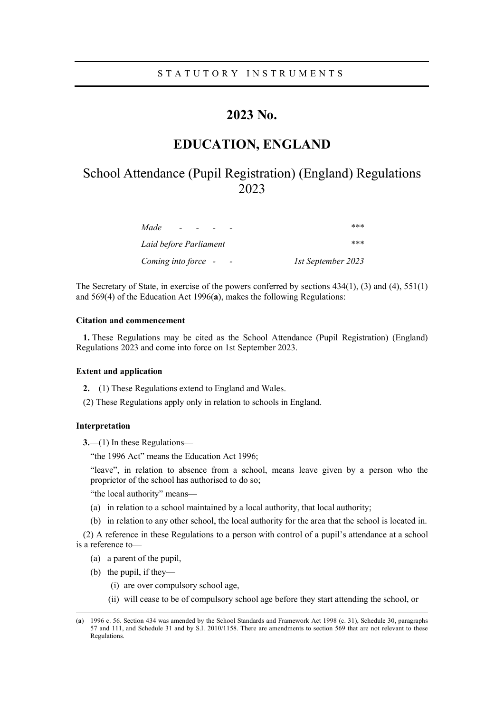## **2023 No.**

# **EDUCATION, ENGLAND**

# School Attendance (Pupil Registration) (England) Regulations 2023

| Made<br>$\sim$         | ***                |
|------------------------|--------------------|
| Laid before Parliament | ***                |
| Coming into force -    | 1st September 2023 |

The Secretary of State, in exercise of the powers conferred by sections 434(1), (3) and (4), 551(1) and 569(4) of the Education Act 1996(**a**), makes the following Regulations:

## **Citation and commencement**

**1.** These Regulations may be cited as the School Attendance (Pupil Registration) (England) Regulations 2023 and come into force on 1st September 2023.

#### **Extent and application**

**2.**—(1) These Regulations extend to England and Wales.

(2) These Regulations apply only in relation to schools in England.

## **Interpretation**

**3.**—(1) In these Regulations—

"the 1996 Act" means the Education Act 1996;

"leave", in relation to absence from a school, means leave given by a person who the proprietor of the school has authorised to do so;

"the local authority" means—

- (a) in relation to a school maintained by a local authority, that local authority;
- (b) in relation to any other school, the local authority for the area that the school is located in.

(2) A reference in these Regulations to a person with control of a pupil's attendance at a school is a reference to—

- (a) a parent of the pupil,
- (b) the pupil, if they—
	- (i) are over compulsory school age,
	- (ii) will cease to be of compulsory school age before they start attending the school, or

<sup>(</sup>**a**) 1996 c. 56. Section 434 was amended by the School Standards and Framework Act 1998 (c. 31), Schedule 30, paragraphs 57 and 111, and Schedule 31 and by S.I. 2010/1158. There are amendments to section 569 that are not relevant to these Regulations.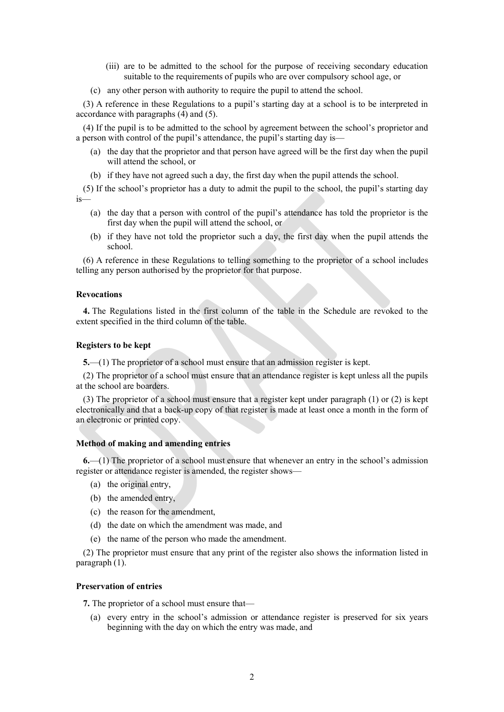- (iii) are to be admitted to the school for the purpose of receiving secondary education suitable to the requirements of pupils who are over compulsory school age, or
- (c) any other person with authority to require the pupil to attend the school.

(3) A reference in these Regulations to a pupil's starting day at a school is to be interpreted in accordance with paragraphs (4) and (5).

(4) If the pupil is to be admitted to the school by agreement between the school's proprietor and a person with control of the pupil's attendance, the pupil's starting day is—

- (a) the day that the proprietor and that person have agreed will be the first day when the pupil will attend the school, or
- (b) if they have not agreed such a day, the first day when the pupil attends the school.

(5) If the school's proprietor has a duty to admit the pupil to the school, the pupil's starting day is—

- (a) the day that a person with control of the pupil's attendance has told the proprietor is the first day when the pupil will attend the school, or
- (b) if they have not told the proprietor such a day, the first day when the pupil attends the school.

(6) A reference in these Regulations to telling something to the proprietor of a school includes telling any person authorised by the proprietor for that purpose.

## **Revocations**

**4.** The Regulations listed in the first column of the table in the Schedule are revoked to the extent specified in the third column of the table.

#### **Registers to be kept**

**5.**—(1) The proprietor of a school must ensure that an admission register is kept.

(2) The proprietor of a school must ensure that an attendance register is kept unless all the pupils at the school are boarders.

(3) The proprietor of a school must ensure that a register kept under paragraph (1) or (2) is kept electronically and that a back-up copy of that register is made at least once a month in the form of an electronic or printed copy.

#### **Method of making and amending entries**

**6.**—(1) The proprietor of a school must ensure that whenever an entry in the school's admission register or attendance register is amended, the register shows—

- (a) the original entry,
- (b) the amended entry,
- (c) the reason for the amendment,
- (d) the date on which the amendment was made, and
- (e) the name of the person who made the amendment.

(2) The proprietor must ensure that any print of the register also shows the information listed in paragraph (1).

## **Preservation of entries**

**7.** The proprietor of a school must ensure that—

(a) every entry in the school's admission or attendance register is preserved for six years beginning with the day on which the entry was made, and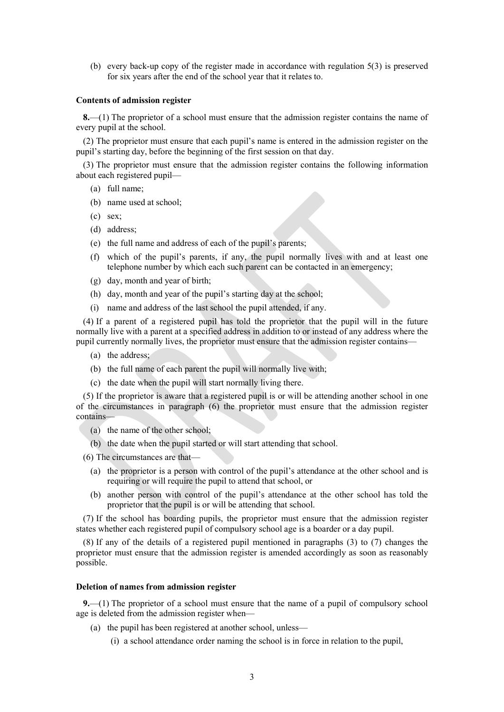(b) every back-up copy of the register made in accordance with regulation 5(3) is preserved for six years after the end of the school year that it relates to.

#### **Contents of admission register**

**8.**—(1) The proprietor of a school must ensure that the admission register contains the name of every pupil at the school.

(2) The proprietor must ensure that each pupil's name is entered in the admission register on the pupil's starting day, before the beginning of the first session on that day.

(3) The proprietor must ensure that the admission register contains the following information about each registered pupil—

- (a) full name;
- (b) name used at school;
- (c) sex;
- (d) address;
- (e) the full name and address of each of the pupil's parents;
- (f) which of the pupil's parents, if any, the pupil normally lives with and at least one telephone number by which each such parent can be contacted in an emergency;
- (g) day, month and year of birth;
- (h) day, month and year of the pupil's starting day at the school;
- (i) name and address of the last school the pupil attended, if any.

(4) If a parent of a registered pupil has told the proprietor that the pupil will in the future normally live with a parent at a specified address in addition to or instead of any address where the pupil currently normally lives, the proprietor must ensure that the admission register contains—

- (a) the address;
- (b) the full name of each parent the pupil will normally live with;
- (c) the date when the pupil will start normally living there.

(5) If the proprietor is aware that a registered pupil is or will be attending another school in one of the circumstances in paragraph (6) the proprietor must ensure that the admission register contains—

- (a) the name of the other school;
- (b) the date when the pupil started or will start attending that school.

(6) The circumstances are that—

- (a) the proprietor is a person with control of the pupil's attendance at the other school and is requiring or will require the pupil to attend that school, or
- (b) another person with control of the pupil's attendance at the other school has told the proprietor that the pupil is or will be attending that school.

(7) If the school has boarding pupils, the proprietor must ensure that the admission register states whether each registered pupil of compulsory school age is a boarder or a day pupil.

(8) If any of the details of a registered pupil mentioned in paragraphs (3) to (7) changes the proprietor must ensure that the admission register is amended accordingly as soon as reasonably possible.

#### **Deletion of names from admission register**

**9.**—(1) The proprietor of a school must ensure that the name of a pupil of compulsory school age is deleted from the admission register when—

- (a) the pupil has been registered at another school, unless—
	- (i) a school attendance order naming the school is in force in relation to the pupil,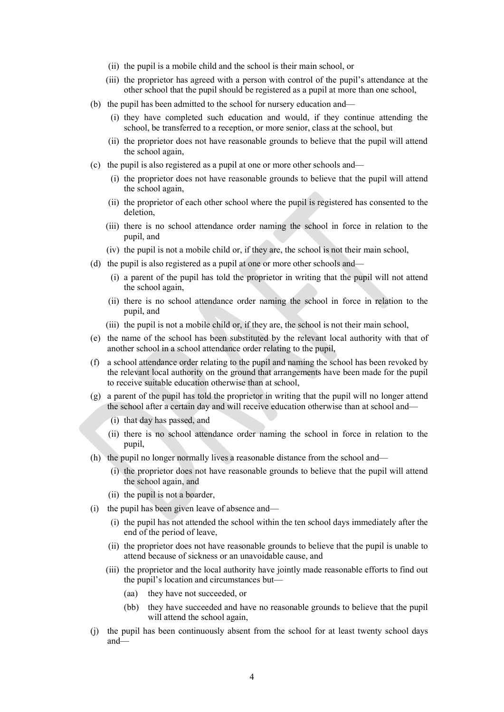- (ii) the pupil is a mobile child and the school is their main school, or
- (iii) the proprietor has agreed with a person with control of the pupil's attendance at the other school that the pupil should be registered as a pupil at more than one school,
- (b) the pupil has been admitted to the school for nursery education and—
	- (i) they have completed such education and would, if they continue attending the school, be transferred to a reception, or more senior, class at the school, but
	- (ii) the proprietor does not have reasonable grounds to believe that the pupil will attend the school again,
- (c) the pupil is also registered as a pupil at one or more other schools and—
	- (i) the proprietor does not have reasonable grounds to believe that the pupil will attend the school again,
	- (ii) the proprietor of each other school where the pupil is registered has consented to the deletion,
	- (iii) there is no school attendance order naming the school in force in relation to the pupil, and
	- (iv) the pupil is not a mobile child or, if they are, the school is not their main school,
- (d) the pupil is also registered as a pupil at one or more other schools and—
	- (i) a parent of the pupil has told the proprietor in writing that the pupil will not attend the school again,
	- (ii) there is no school attendance order naming the school in force in relation to the pupil, and
	- (iii) the pupil is not a mobile child or, if they are, the school is not their main school,
- (e) the name of the school has been substituted by the relevant local authority with that of another school in a school attendance order relating to the pupil,
- (f) a school attendance order relating to the pupil and naming the school has been revoked by the relevant local authority on the ground that arrangements have been made for the pupil to receive suitable education otherwise than at school,
- (g) a parent of the pupil has told the proprietor in writing that the pupil will no longer attend the school after a certain day and will receive education otherwise than at school and—
	- (i) that day has passed, and
	- (ii) there is no school attendance order naming the school in force in relation to the pupil,
- (h) the pupil no longer normally lives a reasonable distance from the school and—
	- (i) the proprietor does not have reasonable grounds to believe that the pupil will attend the school again, and
	- (ii) the pupil is not a boarder,
- (i) the pupil has been given leave of absence and—
	- (i) the pupil has not attended the school within the ten school days immediately after the end of the period of leave,
	- (ii) the proprietor does not have reasonable grounds to believe that the pupil is unable to attend because of sickness or an unavoidable cause, and
	- (iii) the proprietor and the local authority have jointly made reasonable efforts to find out the pupil's location and circumstances but—
		- (aa) they have not succeeded, or
		- (bb) they have succeeded and have no reasonable grounds to believe that the pupil will attend the school again,
- (j) the pupil has been continuously absent from the school for at least twenty school days and—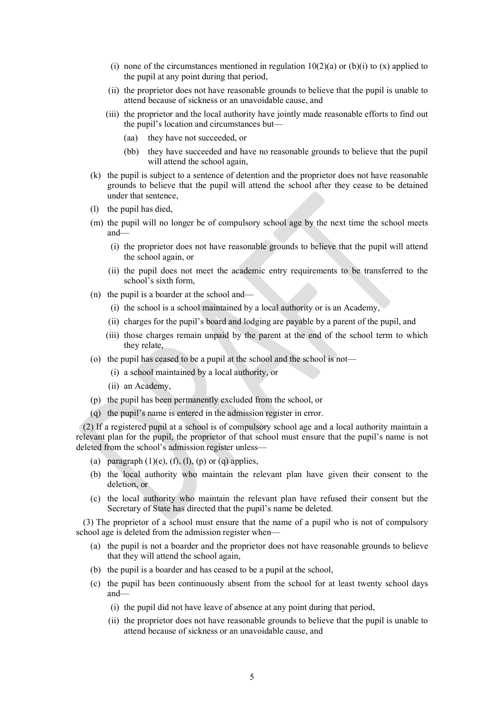- (i) none of the circumstances mentioned in regulation  $10(2)(a)$  or (b)(i) to (x) applied to the pupil at any point during that period,
- (ii) the proprietor does not have reasonable grounds to believe that the pupil is unable to attend because of sickness or an unavoidable cause, and
- (iii) the proprietor and the local authority have jointly made reasonable efforts to find out the pupil's location and circumstances but—
	- (aa) they have not succeeded, or
	- (bb) they have succeeded and have no reasonable grounds to believe that the pupil will attend the school again,
- (k) the pupil is subject to a sentence of detention and the proprietor does not have reasonable grounds to believe that the pupil will attend the school after they cease to be detained under that sentence,
- (l) the pupil has died,
- (m) the pupil will no longer be of compulsory school age by the next time the school meets and—
	- (i) the proprietor does not have reasonable grounds to believe that the pupil will attend the school again, or
	- (ii) the pupil does not meet the academic entry requirements to be transferred to the school's sixth form,
- (n) the pupil is a boarder at the school and—
	- (i) the school is a school maintained by a local authority or is an Academy,
	- (ii) charges for the pupil's board and lodging are payable by a parent of the pupil, and
	- (iii) those charges remain unpaid by the parent at the end of the school term to which they relate,
- (o) the pupil has ceased to be a pupil at the school and the school is not—
	- (i) a school maintained by a local authority, or
	- (ii) an Academy,
- (p) the pupil has been permanently excluded from the school, or
- (q) the pupil's name is entered in the admission register in error.

(2) If a registered pupil at a school is of compulsory school age and a local authority maintain a relevant plan for the pupil, the proprietor of that school must ensure that the pupil's name is not deleted from the school's admission register unless—

- (a) paragraph  $(1)(e)$ ,  $(f)$ ,  $(1)$ ,  $(p)$  or  $(q)$  applies,
- (b) the local authority who maintain the relevant plan have given their consent to the deletion, or
- (c) the local authority who maintain the relevant plan have refused their consent but the Secretary of State has directed that the pupil's name be deleted.

(3) The proprietor of a school must ensure that the name of a pupil who is not of compulsory school age is deleted from the admission register when—

- (a) the pupil is not a boarder and the proprietor does not have reasonable grounds to believe that they will attend the school again,
- (b) the pupil is a boarder and has ceased to be a pupil at the school,
- (c) the pupil has been continuously absent from the school for at least twenty school days and—
	- (i) the pupil did not have leave of absence at any point during that period,
	- (ii) the proprietor does not have reasonable grounds to believe that the pupil is unable to attend because of sickness or an unavoidable cause, and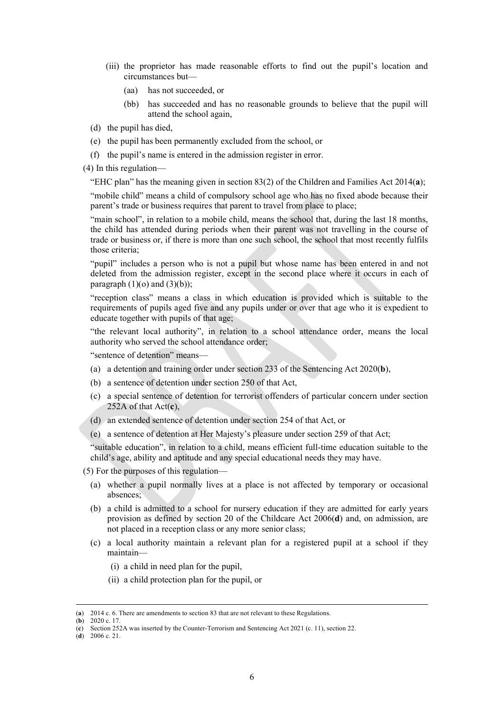- (iii) the proprietor has made reasonable efforts to find out the pupil's location and circumstances but—
	- (aa) has not succeeded, or
	- (bb) has succeeded and has no reasonable grounds to believe that the pupil will attend the school again,
- (d) the pupil has died,
- (e) the pupil has been permanently excluded from the school, or
- (f) the pupil's name is entered in the admission register in error.

(4) In this regulation—

"EHC plan" has the meaning given in section 83(2) of the Children and Families Act 2014(**a**);

"mobile child" means a child of compulsory school age who has no fixed abode because their parent's trade or business requires that parent to travel from place to place;

"main school", in relation to a mobile child, means the school that, during the last 18 months, the child has attended during periods when their parent was not travelling in the course of trade or business or, if there is more than one such school, the school that most recently fulfils those criteria;

"pupil" includes a person who is not a pupil but whose name has been entered in and not deleted from the admission register, except in the second place where it occurs in each of paragraph  $(1)(o)$  and  $(3)(b)$ :

"reception class" means a class in which education is provided which is suitable to the requirements of pupils aged five and any pupils under or over that age who it is expedient to educate together with pupils of that age;

"the relevant local authority", in relation to a school attendance order, means the local authority who served the school attendance order;

"sentence of detention" means—

- (a) a detention and training order under section 233 of the Sentencing Act 2020(**b**),
- (b) a sentence of detention under section 250 of that Act,
- (c) a special sentence of detention for terrorist offenders of particular concern under section 252A of that Act(**c**),
- (d) an extended sentence of detention under section 254 of that Act, or
- (e) a sentence of detention at Her Majesty's pleasure under section 259 of that Act;

"suitable education", in relation to a child, means efficient full-time education suitable to the child's age, ability and aptitude and any special educational needs they may have.

(5) For the purposes of this regulation—

- (a) whether a pupil normally lives at a place is not affected by temporary or occasional absences;
- (b) a child is admitted to a school for nursery education if they are admitted for early years provision as defined by section 20 of the Childcare Act 2006(**d**) and, on admission, are not placed in a reception class or any more senior class;
- (c) a local authority maintain a relevant plan for a registered pupil at a school if they maintain—
	- (i) a child in need plan for the pupil,
	- (ii) a child protection plan for the pupil, or

<sup>(</sup>**a**) 2014 c. 6. There are amendments to section 83 that are not relevant to these Regulations.

<sup>(</sup>**b**) 2020 c. 17.

<sup>(</sup>**c**) Section 252A was inserted by the Counter-Terrorism and Sentencing Act 2021 (c. 11), section 22.

<sup>(</sup>**d**) 2006 c. 21.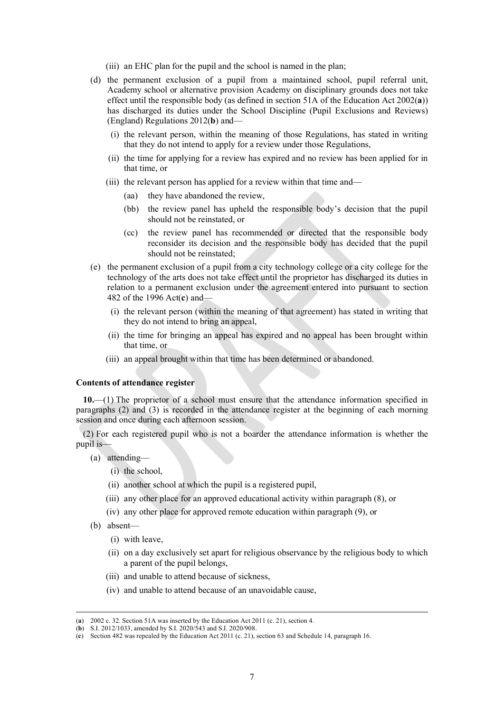- (iii) an EHC plan for the pupil and the school is named in the plan;
- (d) the permanent exclusion of a pupil from a maintained school, pupil referral unit, Academy school or alternative provision Academy on disciplinary grounds does not take effect until the responsible body (as defined in section 51A of the Education Act 2002(**a**)) has discharged its duties under the School Discipline (Pupil Exclusions and Reviews) (England) Regulations 2012(**b**) and—
	- (i) the relevant person, within the meaning of those Regulations, has stated in writing that they do not intend to apply for a review under those Regulations,
	- (ii) the time for applying for a review has expired and no review has been applied for in that time, or
	- (iii) the relevant person has applied for a review within that time and—
		- (aa) they have abandoned the review,
		- (bb) the review panel has upheld the responsible body's decision that the pupil should not be reinstated, or
		- (cc) the review panel has recommended or directed that the responsible body reconsider its decision and the responsible body has decided that the pupil should not be reinstated;
- (e) the permanent exclusion of a pupil from a city technology college or a city college for the technology of the arts does not take effect until the proprietor has discharged its duties in relation to a permanent exclusion under the agreement entered into pursuant to section 482 of the 1996 Act(**c**) and—
	- (i) the relevant person (within the meaning of that agreement) has stated in writing that they do not intend to bring an appeal,
	- (ii) the time for bringing an appeal has expired and no appeal has been brought within that time, or
	- (iii) an appeal brought within that time has been determined or abandoned.

#### **Contents of attendance register**

**10.**—(1) The proprietor of a school must ensure that the attendance information specified in paragraphs (2) and (3) is recorded in the attendance register at the beginning of each morning session and once during each afternoon session.

(2) For each registered pupil who is not a boarder the attendance information is whether the pupil is—

- (a) attending—
	- (i) the school,
	- (ii) another school at which the pupil is a registered pupil,
	- (iii) any other place for an approved educational activity within paragraph (8), or
	- (iv) any other place for approved remote education within paragraph (9), or
- (b) absent—
	- (i) with leave,
	- (ii) on a day exclusively set apart for religious observance by the religious body to which a parent of the pupil belongs,
	- (iii) and unable to attend because of sickness,
	- (iv) and unable to attend because of an unavoidable cause,

<sup>(</sup>**a**) 2002 c. 32. Section 51A was inserted by the Education Act 2011 (c. 21), section 4.

<sup>(</sup>**b**) S.I. 2012/1033, amended by S.I. 2020/543 and S.I. 2020/908.

<sup>(</sup>**c**) Section 482 was repealed by the Education Act 2011 (c. 21), section 63 and Schedule 14, paragraph 16.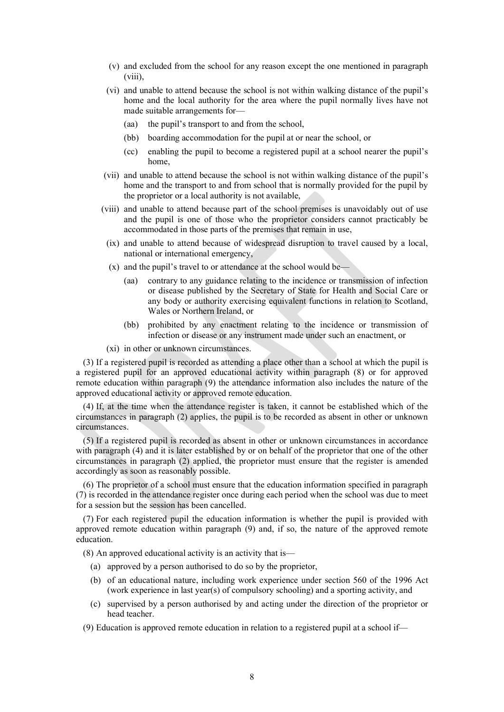- (v) and excluded from the school for any reason except the one mentioned in paragraph (viii),
- (vi) and unable to attend because the school is not within walking distance of the pupil's home and the local authority for the area where the pupil normally lives have not made suitable arrangements for—
	- (aa) the pupil's transport to and from the school,
	- (bb) boarding accommodation for the pupil at or near the school, or
	- (cc) enabling the pupil to become a registered pupil at a school nearer the pupil's home,
- (vii) and unable to attend because the school is not within walking distance of the pupil's home and the transport to and from school that is normally provided for the pupil by the proprietor or a local authority is not available,
- (viii) and unable to attend because part of the school premises is unavoidably out of use and the pupil is one of those who the proprietor considers cannot practicably be accommodated in those parts of the premises that remain in use,
	- (ix) and unable to attend because of widespread disruption to travel caused by a local, national or international emergency,
	- (x) and the pupil's travel to or attendance at the school would be—
		- (aa) contrary to any guidance relating to the incidence or transmission of infection or disease published by the Secretary of State for Health and Social Care or any body or authority exercising equivalent functions in relation to Scotland, Wales or Northern Ireland, or
		- (bb) prohibited by any enactment relating to the incidence or transmission of infection or disease or any instrument made under such an enactment, or
	- (xi) in other or unknown circumstances.

(3) If a registered pupil is recorded as attending a place other than a school at which the pupil is a registered pupil for an approved educational activity within paragraph (8) or for approved remote education within paragraph (9) the attendance information also includes the nature of the approved educational activity or approved remote education.

(4) If, at the time when the attendance register is taken, it cannot be established which of the circumstances in paragraph (2) applies, the pupil is to be recorded as absent in other or unknown circumstances.

(5) If a registered pupil is recorded as absent in other or unknown circumstances in accordance with paragraph (4) and it is later established by or on behalf of the proprietor that one of the other circumstances in paragraph (2) applied, the proprietor must ensure that the register is amended accordingly as soon as reasonably possible.

(6) The proprietor of a school must ensure that the education information specified in paragraph (7) is recorded in the attendance register once during each period when the school was due to meet for a session but the session has been cancelled.

(7) For each registered pupil the education information is whether the pupil is provided with approved remote education within paragraph (9) and, if so, the nature of the approved remote education.

(8) An approved educational activity is an activity that is—

- (a) approved by a person authorised to do so by the proprietor,
- (b) of an educational nature, including work experience under section 560 of the 1996 Act (work experience in last year(s) of compulsory schooling) and a sporting activity, and
- (c) supervised by a person authorised by and acting under the direction of the proprietor or head teacher.
- (9) Education is approved remote education in relation to a registered pupil at a school if—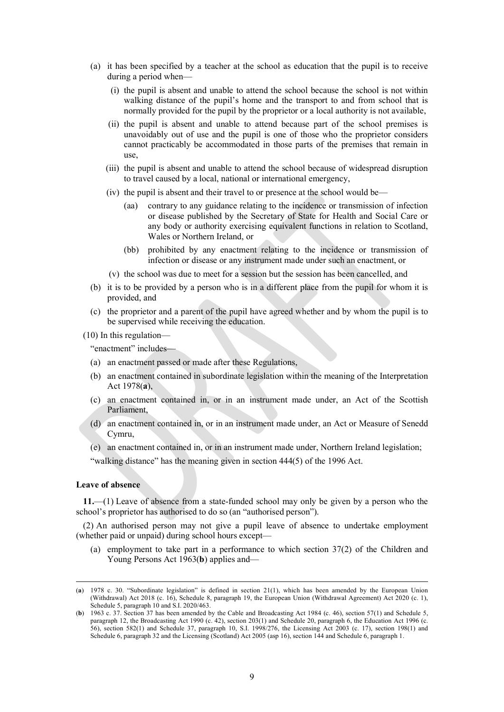- (a) it has been specified by a teacher at the school as education that the pupil is to receive during a period when—
	- (i) the pupil is absent and unable to attend the school because the school is not within walking distance of the pupil's home and the transport to and from school that is normally provided for the pupil by the proprietor or a local authority is not available,
	- (ii) the pupil is absent and unable to attend because part of the school premises is unavoidably out of use and the pupil is one of those who the proprietor considers cannot practicably be accommodated in those parts of the premises that remain in  $\overline{\text{use}}$
	- (iii) the pupil is absent and unable to attend the school because of widespread disruption to travel caused by a local, national or international emergency,
	- (iv) the pupil is absent and their travel to or presence at the school would be—
		- (aa) contrary to any guidance relating to the incidence or transmission of infection or disease published by the Secretary of State for Health and Social Care or any body or authority exercising equivalent functions in relation to Scotland, Wales or Northern Ireland, or
		- (bb) prohibited by any enactment relating to the incidence or transmission of infection or disease or any instrument made under such an enactment, or
	- (v) the school was due to meet for a session but the session has been cancelled, and
- (b) it is to be provided by a person who is in a different place from the pupil for whom it is provided, and
- (c) the proprietor and a parent of the pupil have agreed whether and by whom the pupil is to be supervised while receiving the education.
- (10) In this regulation—

"enactment" includes—

- (a) an enactment passed or made after these Regulations,
- (b) an enactment contained in subordinate legislation within the meaning of the Interpretation Act 1978(**a**),
- (c) an enactment contained in, or in an instrument made under, an Act of the Scottish Parliament,
- (d) an enactment contained in, or in an instrument made under, an Act or Measure of Senedd Cymru,
- (e) an enactment contained in, or in an instrument made under, Northern Ireland legislation;

"walking distance" has the meaning given in section 444(5) of the 1996 Act.

### **Leave of absence**

**11.**—(1) Leave of absence from a state-funded school may only be given by a person who the school's proprietor has authorised to do so (an "authorised person").

(2) An authorised person may not give a pupil leave of absence to undertake employment (whether paid or unpaid) during school hours except—

(a) employment to take part in a performance to which section 37(2) of the Children and Young Persons Act 1963(**b**) applies and—

<sup>(</sup>**a**) 1978 c. 30. "Subordinate legislation" is defined in section 21(1), which has been amended by the European Union (Withdrawal) Act 2018 (c. 16), Schedule 8, paragraph 19, the European Union (Withdrawal Agreement) Act 2020 (c. 1), Schedule 5, paragraph 10 and S.I. 2020/463.

<sup>(</sup>**b**) 1963 c. 37. Section 37 has been amended by the Cable and Broadcasting Act 1984 (c. 46), section 57(1) and Schedule 5, paragraph 12, the Broadcasting Act 1990 (c. 42), section 203(1) and Schedule 20, paragraph 6, the Education Act 1996 (c. 56), section 582(1) and Schedule 37, paragraph 10, S.I. 1998/276, the Licensing Act 2003 (c. 17), section 198(1) and Schedule 6, paragraph 32 and the Licensing (Scotland) Act 2005 (asp 16), section 144 and Schedule 6, paragraph 1.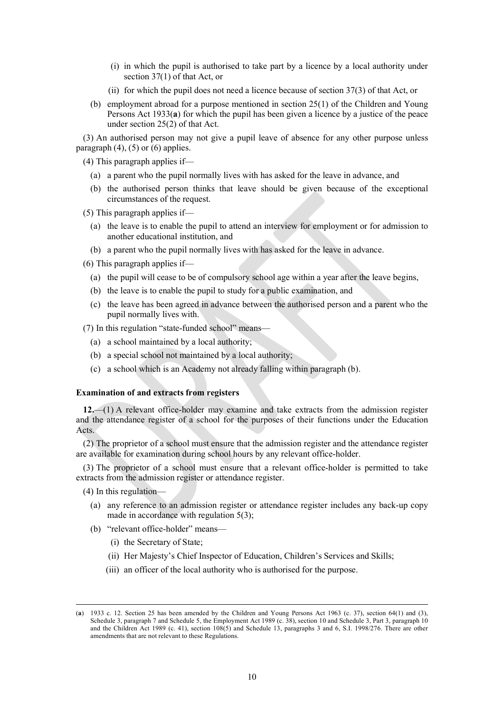- (i) in which the pupil is authorised to take part by a licence by a local authority under section 37(1) of that Act, or
- (ii) for which the pupil does not need a licence because of section 37(3) of that Act, or
- (b) employment abroad for a purpose mentioned in section 25(1) of the Children and Young Persons Act 1933(**a**) for which the pupil has been given a licence by a justice of the peace under section 25(2) of that Act.

(3) An authorised person may not give a pupil leave of absence for any other purpose unless paragraph  $(4)$ ,  $(5)$  or  $(6)$  applies.

(4) This paragraph applies if—

- (a) a parent who the pupil normally lives with has asked for the leave in advance, and
- (b) the authorised person thinks that leave should be given because of the exceptional circumstances of the request.

(5) This paragraph applies if—

- (a) the leave is to enable the pupil to attend an interview for employment or for admission to another educational institution, and
- (b) a parent who the pupil normally lives with has asked for the leave in advance.

(6) This paragraph applies if—

- (a) the pupil will cease to be of compulsory school age within a year after the leave begins,
- (b) the leave is to enable the pupil to study for a public examination, and
- (c) the leave has been agreed in advance between the authorised person and a parent who the pupil normally lives with.

(7) In this regulation "state-funded school" means—

- (a) a school maintained by a local authority;
- (b) a special school not maintained by a local authority;
- (c) a school which is an Academy not already falling within paragraph (b).

## **Examination of and extracts from registers**

**12.**—(1) A relevant office-holder may examine and take extracts from the admission register and the attendance register of a school for the purposes of their functions under the Education Acts.

(2) The proprietor of a school must ensure that the admission register and the attendance register are available for examination during school hours by any relevant office-holder.

(3) The proprietor of a school must ensure that a relevant office-holder is permitted to take extracts from the admission register or attendance register.

- (4) In this regulation—
	- (a) any reference to an admission register or attendance register includes any back-up copy made in accordance with regulation 5(3);
	- (b) "relevant office-holder" means—
		- (i) the Secretary of State;
		- (ii) Her Majesty's Chief Inspector of Education, Children's Services and Skills;
		- (iii) an officer of the local authority who is authorised for the purpose.

<sup>(</sup>**a**) 1933 c. 12. Section 25 has been amended by the Children and Young Persons Act 1963 (c. 37), section 64(1) and (3), Schedule 3, paragraph 7 and Schedule 5, the Employment Act 1989 (c. 38), section 10 and Schedule 3, Part 3, paragraph 10 and the Children Act 1989 (c. 41), section 108(5) and Schedule 13, paragraphs 3 and 6, S.I. 1998/276. There are other amendments that are not relevant to these Regulations.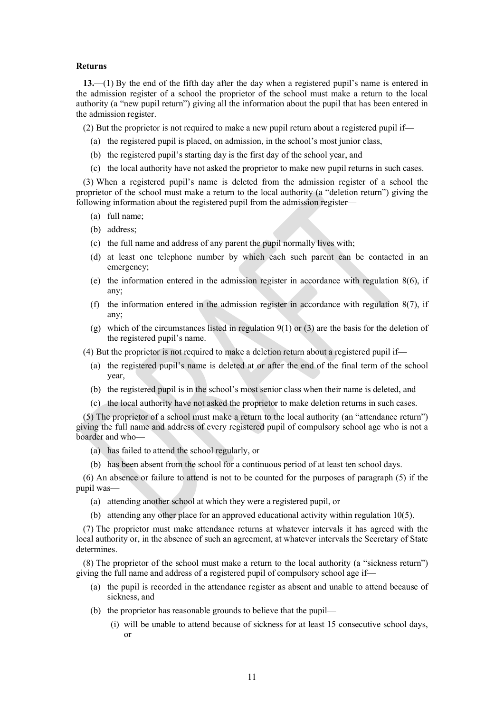#### **Returns**

**13.**—(1) By the end of the fifth day after the day when a registered pupil's name is entered in the admission register of a school the proprietor of the school must make a return to the local authority (a "new pupil return") giving all the information about the pupil that has been entered in the admission register.

(2) But the proprietor is not required to make a new pupil return about a registered pupil if—

- (a) the registered pupil is placed, on admission, in the school's most junior class,
- (b) the registered pupil's starting day is the first day of the school year, and
- (c) the local authority have not asked the proprietor to make new pupil returns in such cases.

(3) When a registered pupil's name is deleted from the admission register of a school the proprietor of the school must make a return to the local authority (a "deletion return") giving the following information about the registered pupil from the admission register—

- (a) full name;
- (b) address;
- (c) the full name and address of any parent the pupil normally lives with;
- (d) at least one telephone number by which each such parent can be contacted in an emergency;
- (e) the information entered in the admission register in accordance with regulation  $8(6)$ , if any;
- (f) the information entered in the admission register in accordance with regulation  $8(7)$ , if any;
- (g) which of the circumstances listed in regulation 9(1) or (3) are the basis for the deletion of the registered pupil's name.
- (4) But the proprietor is not required to make a deletion return about a registered pupil if—
	- (a) the registered pupil's name is deleted at or after the end of the final term of the school year,
	- (b) the registered pupil is in the school's most senior class when their name is deleted, and
	- (c) the local authority have not asked the proprietor to make deletion returns in such cases.

(5) The proprietor of a school must make a return to the local authority (an "attendance return") giving the full name and address of every registered pupil of compulsory school age who is not a boarder and who—

- (a) has failed to attend the school regularly, or
- (b) has been absent from the school for a continuous period of at least ten school days.

(6) An absence or failure to attend is not to be counted for the purposes of paragraph (5) if the pupil was—

- (a) attending another school at which they were a registered pupil, or
- (b) attending any other place for an approved educational activity within regulation 10(5).

(7) The proprietor must make attendance returns at whatever intervals it has agreed with the local authority or, in the absence of such an agreement, at whatever intervals the Secretary of State determines.

(8) The proprietor of the school must make a return to the local authority (a "sickness return") giving the full name and address of a registered pupil of compulsory school age if—

- (a) the pupil is recorded in the attendance register as absent and unable to attend because of sickness, and
- (b) the proprietor has reasonable grounds to believe that the pupil—
	- (i) will be unable to attend because of sickness for at least 15 consecutive school days, or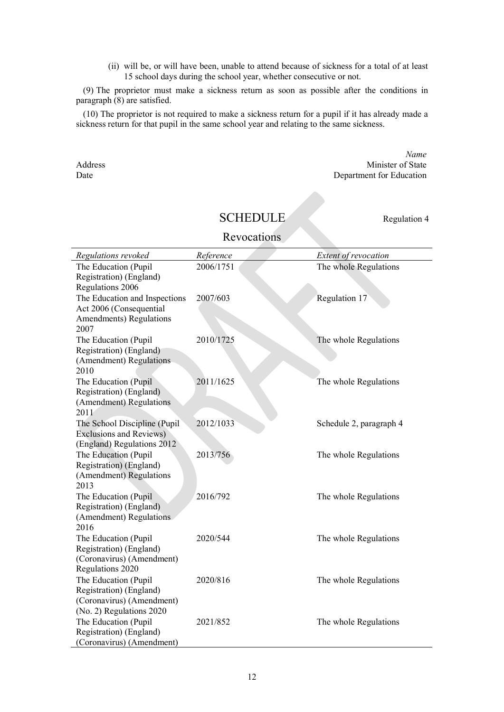(ii) will be, or will have been, unable to attend because of sickness for a total of at least 15 school days during the school year, whether consecutive or not.

(9) The proprietor must make a sickness return as soon as possible after the conditions in paragraph (8) are satisfied.

(10) The proprietor is not required to make a sickness return for a pupil if it has already made a sickness return for that pupil in the same school year and relating to the same sickness.

*Name* Address Minister of State Date Department for Education

## SCHEDULE Regulation 4

Revocations

| Regulations revoked                               | Reference | Extent of revocation    |
|---------------------------------------------------|-----------|-------------------------|
| The Education (Pupil                              | 2006/1751 | The whole Regulations   |
| Registration) (England)                           |           |                         |
| Regulations 2006<br>The Education and Inspections | 2007/603  | Regulation 17           |
| Act 2006 (Consequential                           |           |                         |
| Amendments) Regulations                           |           |                         |
| 2007                                              |           |                         |
| The Education (Pupil                              | 2010/1725 | The whole Regulations   |
| Registration) (England)                           |           |                         |
| (Amendment) Regulations                           |           |                         |
| 2010<br>The Education (Pupil                      | 2011/1625 | The whole Regulations   |
| Registration) (England)                           |           |                         |
| (Amendment) Regulations                           |           |                         |
| 2011                                              |           |                         |
| The School Discipline (Pupil                      | 2012/1033 | Schedule 2, paragraph 4 |
| <b>Exclusions and Reviews)</b>                    |           |                         |
| (England) Regulations 2012                        |           |                         |
| The Education (Pupil<br>Registration) (England)   | 2013/756  | The whole Regulations   |
| (Amendment) Regulations                           |           |                         |
| 2013                                              |           |                         |
| The Education (Pupil                              | 2016/792  | The whole Regulations   |
| Registration) (England)                           |           |                         |
| (Amendment) Regulations                           |           |                         |
| 2016                                              | 2020/544  |                         |
| The Education (Pupil<br>Registration) (England)   |           | The whole Regulations   |
| (Coronavirus) (Amendment)                         |           |                         |
| Regulations 2020                                  |           |                         |
| The Education (Pupil                              | 2020/816  | The whole Regulations   |
| Registration) (England)                           |           |                         |
| (Coronavirus) (Amendment)                         |           |                         |
| (No. 2) Regulations 2020                          |           |                         |
| The Education (Pupil<br>Registration) (England)   | 2021/852  | The whole Regulations   |
| (Coronavirus) (Amendment)                         |           |                         |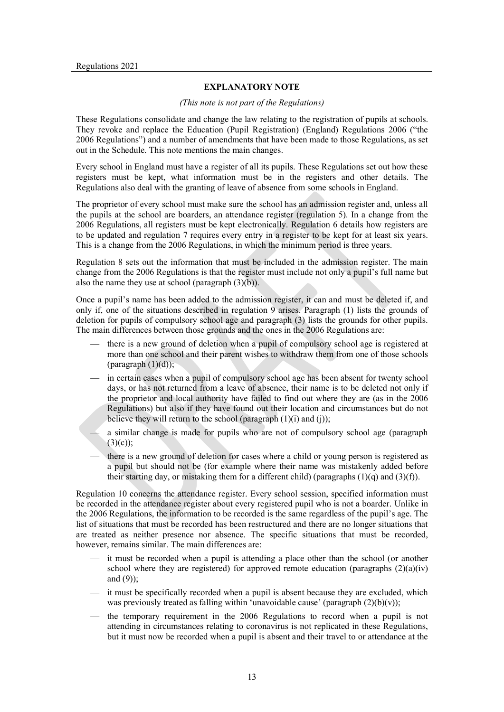## **EXPLANATORY NOTE**

## *(This note is not part of the Regulations)*

These Regulations consolidate and change the law relating to the registration of pupils at schools. They revoke and replace the Education (Pupil Registration) (England) Regulations 2006 ("the 2006 Regulations") and a number of amendments that have been made to those Regulations, as set out in the Schedule. This note mentions the main changes.

Every school in England must have a register of all its pupils. These Regulations set out how these registers must be kept, what information must be in the registers and other details. The Regulations also deal with the granting of leave of absence from some schools in England.

The proprietor of every school must make sure the school has an admission register and, unless all the pupils at the school are boarders, an attendance register (regulation 5). In a change from the 2006 Regulations, all registers must be kept electronically. Regulation 6 details how registers are to be updated and regulation 7 requires every entry in a register to be kept for at least six years. This is a change from the 2006 Regulations, in which the minimum period is three years.

Regulation 8 sets out the information that must be included in the admission register. The main change from the 2006 Regulations is that the register must include not only a pupil's full name but also the name they use at school (paragraph  $(3)(b)$ ).

Once a pupil's name has been added to the admission register, it can and must be deleted if, and only if, one of the situations described in regulation 9 arises. Paragraph (1) lists the grounds of deletion for pupils of compulsory school age and paragraph (3) lists the grounds for other pupils. The main differences between those grounds and the ones in the 2006 Regulations are:

- there is a new ground of deletion when a pupil of compulsory school age is registered at more than one school and their parent wishes to withdraw them from one of those schools (paragraph (1)(d));
- in certain cases when a pupil of compulsory school age has been absent for twenty school days, or has not returned from a leave of absence, their name is to be deleted not only if the proprietor and local authority have failed to find out where they are (as in the 2006 Regulations) but also if they have found out their location and circumstances but do not believe they will return to the school (paragraph  $(1)(i)$ ) and  $(i)$ );

— a similar change is made for pupils who are not of compulsory school age (paragraph  $(3)(c)$ ;

there is a new ground of deletion for cases where a child or young person is registered as a pupil but should not be (for example where their name was mistakenly added before their starting day, or mistaking them for a different child) (paragraphs  $(1)(q)$  and  $(3)(f)$ ).

Regulation 10 concerns the attendance register. Every school session, specified information must be recorded in the attendance register about every registered pupil who is not a boarder. Unlike in the 2006 Regulations, the information to be recorded is the same regardless of the pupil's age. The list of situations that must be recorded has been restructured and there are no longer situations that are treated as neither presence nor absence. The specific situations that must be recorded, however, remains similar. The main differences are:

- it must be recorded when a pupil is attending a place other than the school (or another school where they are registered) for approved remote education (paragraphs  $(2)(a)(iv)$ and (9));
- it must be specifically recorded when a pupil is absent because they are excluded, which was previously treated as falling within 'unavoidable cause' (paragraph  $(2)(b)(v)$ );
- the temporary requirement in the 2006 Regulations to record when a pupil is not attending in circumstances relating to coronavirus is not replicated in these Regulations, but it must now be recorded when a pupil is absent and their travel to or attendance at the